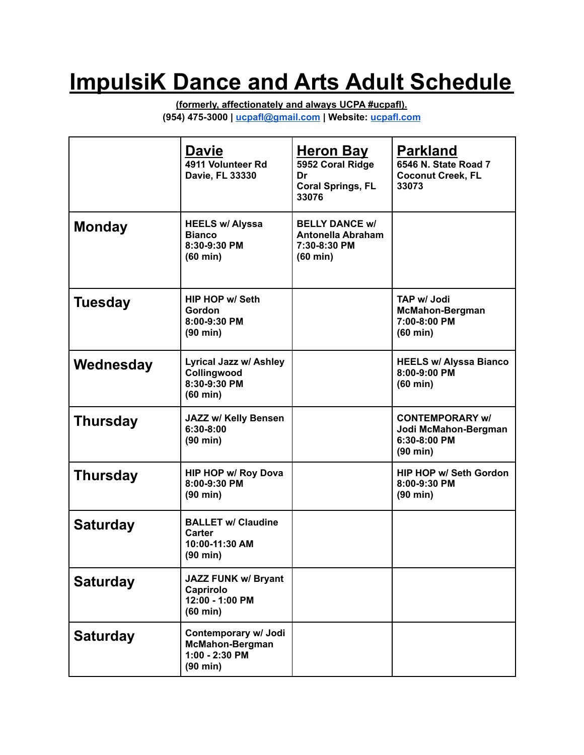## **ImpulsiK Dance and Arts Adult Schedule**

**(formerly, affectionately and always UCPA #ucpafl). (954) 475-3000 | [ucpafl@gmail.com](mailto:ucpafl@gmail.com) | Website: [ucpafl.com](http://www.universitycenterfortheperformingarts.com)**

|                 | Davie<br>4911 Volunteer Rd<br>Davie, FL 33330                                          | <u>Heron Bay</u><br>5952 Coral Ridge<br>Dr<br><b>Coral Springs, FL</b><br>33076         | <b>Parkland</b><br>6546 N. State Road 7<br><b>Coconut Creek, FL</b><br>33073         |
|-----------------|----------------------------------------------------------------------------------------|-----------------------------------------------------------------------------------------|--------------------------------------------------------------------------------------|
| <b>Monday</b>   | <b>HEELS w/ Alyssa</b><br><b>Bianco</b><br>8:30-9:30 PM<br>$(60 \text{ min})$          | <b>BELLY DANCE w/</b><br><b>Antonella Abraham</b><br>7:30-8:30 PM<br>$(60 \text{ min})$ |                                                                                      |
| Tuesday         | <b>HIP HOP w/ Seth</b><br>Gordon<br>8:00-9:30 PM<br>$(90 \text{ min})$                 |                                                                                         | <b>TAP w/ Jodi</b><br><b>McMahon-Bergman</b><br>7:00-8:00 PM<br>$(60 \text{ min})$   |
| Wednesday       | <b>Lyrical Jazz w/ Ashley</b><br>Collingwood<br>8:30-9:30 PM<br>$(60 \text{ min})$     |                                                                                         | <b>HEELS w/ Alyssa Bianco</b><br>8:00-9:00 PM<br>$(60 \text{ min})$                  |
| <b>Thursday</b> | JAZZ w/ Kelly Bensen<br>$6:30-8:00$<br>(90 min)                                        |                                                                                         | <b>CONTEMPORARY w/</b><br>Jodi McMahon-Bergman<br>6:30-8:00 PM<br>$(90 \text{ min})$ |
| <b>Thursday</b> | <b>HIP HOP w/ Roy Dova</b><br>8:00-9:30 PM<br>$(90 \text{ min})$                       |                                                                                         | <b>HIP HOP w/ Seth Gordon</b><br>8:00-9:30 PM<br>$(90 \text{ min})$                  |
| <b>Saturday</b> | <b>BALLET w/ Claudine</b><br>Carter<br>10:00-11:30 AM<br>(90 min)                      |                                                                                         |                                                                                      |
| <b>Saturday</b> | <b>JAZZ FUNK w/ Bryant</b><br>Caprirolo<br>12:00 - 1:00 PM<br>$(60 \text{ min})$       |                                                                                         |                                                                                      |
| <b>Saturday</b> | Contemporary w/ Jodi<br><b>McMahon-Bergman</b><br>1:00 - 2:30 PM<br>$(90 \text{ min})$ |                                                                                         |                                                                                      |